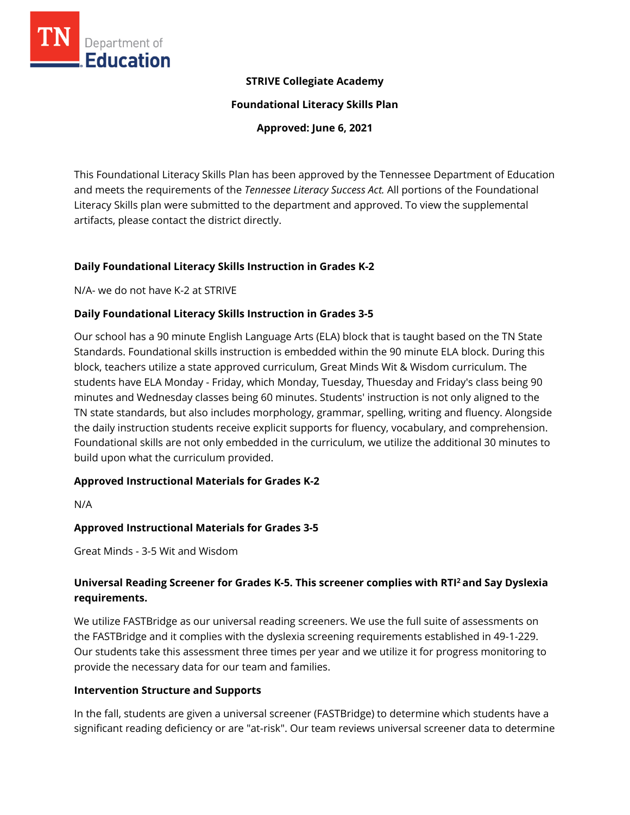

### **STRIVE Collegiate Academy**

**Foundational Literacy Skills Plan**

**Approved: June 6, 2021**

This Foundational Literacy Skills Plan has been approved by the Tennessee Department of Education and meets the requirements of the *Tennessee Literacy Success Act.* All portions of the Foundational Literacy Skills plan were submitted to the department and approved. To view the supplemental artifacts, please contact the district directly.

### **Daily Foundational Literacy Skills Instruction in Grades K-2**

N/A- we do not have K-2 at STRIVE

### **Daily Foundational Literacy Skills Instruction in Grades 3-5**

Our school has a 90 minute English Language Arts (ELA) block that is taught based on the TN State Standards. Foundational skills instruction is embedded within the 90 minute ELA block. During this block, teachers utilize a state approved curriculum, Great Minds Wit & Wisdom curriculum. The students have ELA Monday - Friday, which Monday, Tuesday, Thuesday and Friday's class being 90 minutes and Wednesday classes being 60 minutes. Students' instruction is not only aligned to the TN state standards, but also includes morphology, grammar, spelling, writing and fluency. Alongside the daily instruction students receive explicit supports for fluency, vocabulary, and comprehension. Foundational skills are not only embedded in the curriculum, we utilize the additional 30 minutes to build upon what the curriculum provided.

### **Approved Instructional Materials for Grades K-2**

N/A

### **Approved Instructional Materials for Grades 3-5**

Great Minds - 3-5 Wit and Wisdom

# **Universal Reading Screener for Grades K-5. This screener complies with RTI<sup>2</sup>and Say Dyslexia requirements.**

We utilize FASTBridge as our universal reading screeners. We use the full suite of assessments on the FASTBridge and it complies with the dyslexia screening requirements established in 49-1-229. Our students take this assessment three times per year and we utilize it for progress monitoring to provide the necessary data for our team and families.

### **Intervention Structure and Supports**

In the fall, students are given a universal screener (FASTBridge) to determine which students have a significant reading deficiency or are "at-risk". Our team reviews universal screener data to determine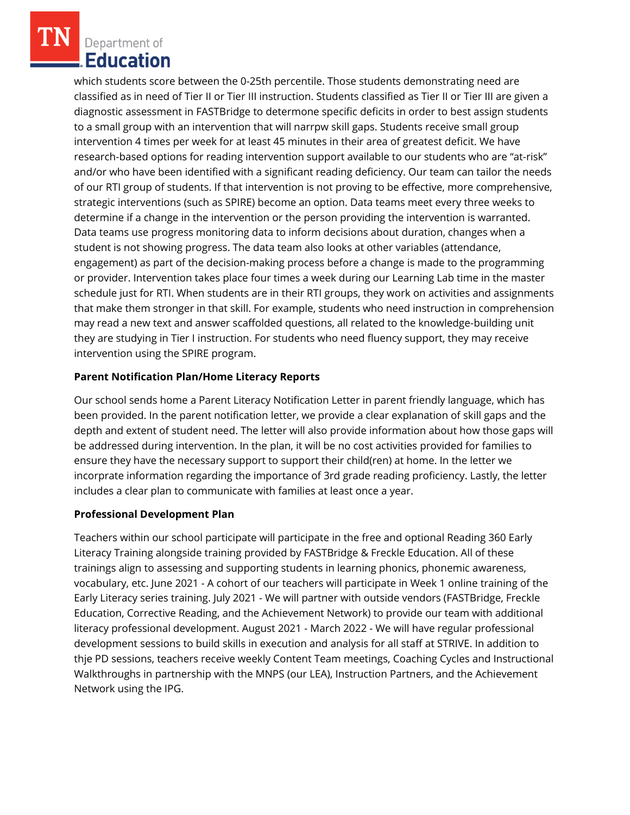Department of **Education** 

which students score between the 0-25th percentile. Those students demonstrating need are classified as in need of Tier II or Tier III instruction. Students classified as Tier II or Tier III are given a diagnostic assessment in FASTBridge to determone specific deficits in order to best assign students to a small group with an intervention that will narrpw skill gaps. Students receive small group intervention 4 times per week for at least 45 minutes in their area of greatest deficit. We have research-based options for reading intervention support available to our students who are "at-risk" and/or who have been identified with a significant reading deficiency. Our team can tailor the needs of our RTI group of students. If that intervention is not proving to be effective, more comprehensive, strategic interventions (such as SPIRE) become an option. Data teams meet every three weeks to determine if a change in the intervention or the person providing the intervention is warranted. Data teams use progress monitoring data to inform decisions about duration, changes when a student is not showing progress. The data team also looks at other variables (attendance, engagement) as part of the decision-making process before a change is made to the programming or provider. Intervention takes place four times a week during our Learning Lab time in the master schedule just for RTI. When students are in their RTI groups, they work on activities and assignments that make them stronger in that skill. For example, students who need instruction in comprehension may read a new text and answer scaffolded questions, all related to the knowledge-building unit they are studying in Tier I instruction. For students who need fluency support, they may receive intervention using the SPIRE program.

## **Parent Notification Plan/Home Literacy Reports**

Our school sends home a Parent Literacy Notification Letter in parent friendly language, which has been provided. In the parent notification letter, we provide a clear explanation of skill gaps and the depth and extent of student need. The letter will also provide information about how those gaps will be addressed during intervention. In the plan, it will be no cost activities provided for families to ensure they have the necessary support to support their child(ren) at home. In the letter we incorprate information regarding the importance of 3rd grade reading proficiency. Lastly, the letter includes a clear plan to communicate with families at least once a year.

### **Professional Development Plan**

Teachers within our school participate will participate in the free and optional Reading 360 Early Literacy Training alongside training provided by FASTBridge & Freckle Education. All of these trainings align to assessing and supporting students in learning phonics, phonemic awareness, vocabulary, etc. June 2021 - A cohort of our teachers will participate in Week 1 online training of the Early Literacy series training. July 2021 - We will partner with outside vendors (FASTBridge, Freckle Education, Corrective Reading, and the Achievement Network) to provide our team with additional literacy professional development. August 2021 - March 2022 - We will have regular professional development sessions to build skills in execution and analysis for all staff at STRIVE. In addition to thje PD sessions, teachers receive weekly Content Team meetings, Coaching Cycles and Instructional Walkthroughs in partnership with the MNPS (our LEA), Instruction Partners, and the Achievement Network using the IPG.